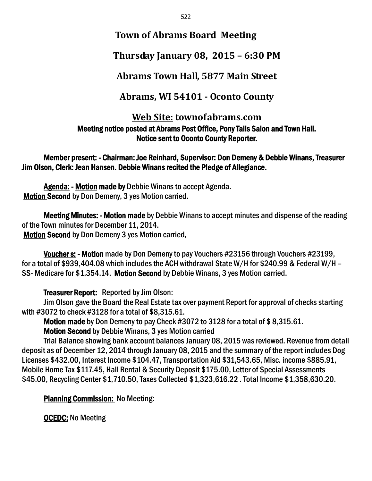## **Town of Abrams Board Meeting**

# **Thursday January 08, 2015 – 6:30 PM**

# **Abrams Town Hall, 5877 Main Street**

## **Abrams, WI 54101 - Oconto County**

### **Web Site: townofabrams.com** Meeting notice posted at Abrams Post Office, Pony Tails Salon and Town Hall. Notice sent to Oconto County Reporter.

Member present: - Chairman: Joe Reinhard, Supervisor: Don Demeny & Debbie Winans, Treasurer Jim Olson, Clerk: Jean Hansen. Debbie Winans recited the Pledge of Allegiance.

Agenda: - Motion made by Debbie Winans to accept Agenda. Motion Second by Don Demeny, 3 yes Motion carried.

Meeting Minutes: - Motion made by Debbie Winans to accept minutes and dispense of the reading of the Town minutes for December 11, 2014. Motion Second by Don Demeny 3 yes Motion carried.

Voucher s: - Motion made by Don Demeny to pay Vouchers #23156 through Vouchers #23199, for a total of \$939,404.08 which includes the ACH withdrawal State W/H for \$240.99 & Federal W/H – SS- Medicare for \$1,354.14. Motion Second by Debbie Winans, 3 yes Motion carried.

## Treasurer Report: Reported by Jim Olson:

Jim Olson gave the Board the Real Estate tax over payment Report for approval of checks starting with #3072 to check #3128 for a total of \$8,315.61.

Motion made by Don Demeny to pay Check #3072 to 3128 for a total of \$ 8,315.61.

Motion Second by Debbie Winans, 3 yes Motion carried

Trial Balance showing bank account balances January 08, 2015 was reviewed. Revenue from detail deposit as of December 12, 2014 through January 08, 2015 and the summary of the report includes Dog Licenses \$432.00, Interest Income \$104.47, Transportation Aid \$31,543.65, Misc. income \$885.91, Mobile Home Tax \$117.45, Hall Rental & Security Deposit \$175.00, Letter of Special Assessments \$45.00, Recycling Center \$1,710.50, Taxes Collected \$1,323,616.22 . Total Income \$1,358,630.20.

## Planning Commission: No Meeting:

OCEDC: No Meeting

522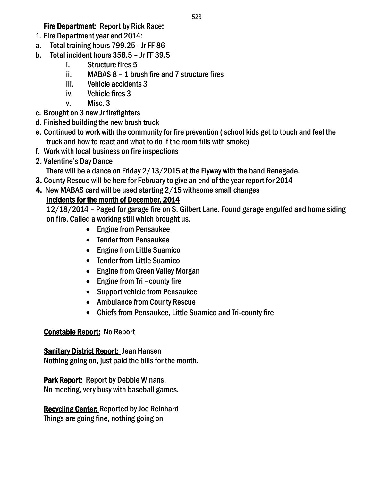### Fire Department: Report by Rick Race:

- 1. Fire Department year end 2014:
- a. Total training hours 799.25 Jr FF 86
- b. Total incident hours 358.5 Jr FF 39.5
	- i. Structure fires 5
	- ii. MABAS 8 1 brush fire and 7 structure fires
	- iii. Vehicle accidents 3
	- iv. Vehicle fires 3
	- v. Misc. 3
- c. Brought on 3 new Jr firefighters
- d. Finished building the new brush truck
- e. Continued to work with the community for fire prevention ( school kids get to touch and feel the truck and how to react and what to do if the room fills with smoke)

523

- f. Work with local business on fire inspections
- 2. Valentine's Day Dance

There will be a dance on Friday 2/13/2015 at the Flyway with the band Renegade.

- 3. County Rescue will be here for February to give an end of the year report for 2014
- 4. New MABAS card will be used starting 2/15 withsome small changes

## Incidents for the month of December, 2014

12/18/2014 – Paged for garage fire on S. Gilbert Lane. Found garage engulfed and home siding on fire. Called a working still which brought us.

- Engine from Pensaukee
- Tender from Pensaukee
- Engine from Little Suamico
- Tender from Little Suamico
- Engine from Green Valley Morgan
- Engine from Tri county fire
- Support vehicle from Pensaukee
- Ambulance from County Rescue
- Chiefs from Pensaukee, Little Suamico and Tri-county fire

## Constable Report: No Report

Sanitary District Report: Jean Hansen Nothing going on, just paid the bills for the month.

Park Report: Report by Debbie Winans. No meeting, very busy with baseball games.

Recycling Center: Reported by Joe Reinhard Things are going fine, nothing going on